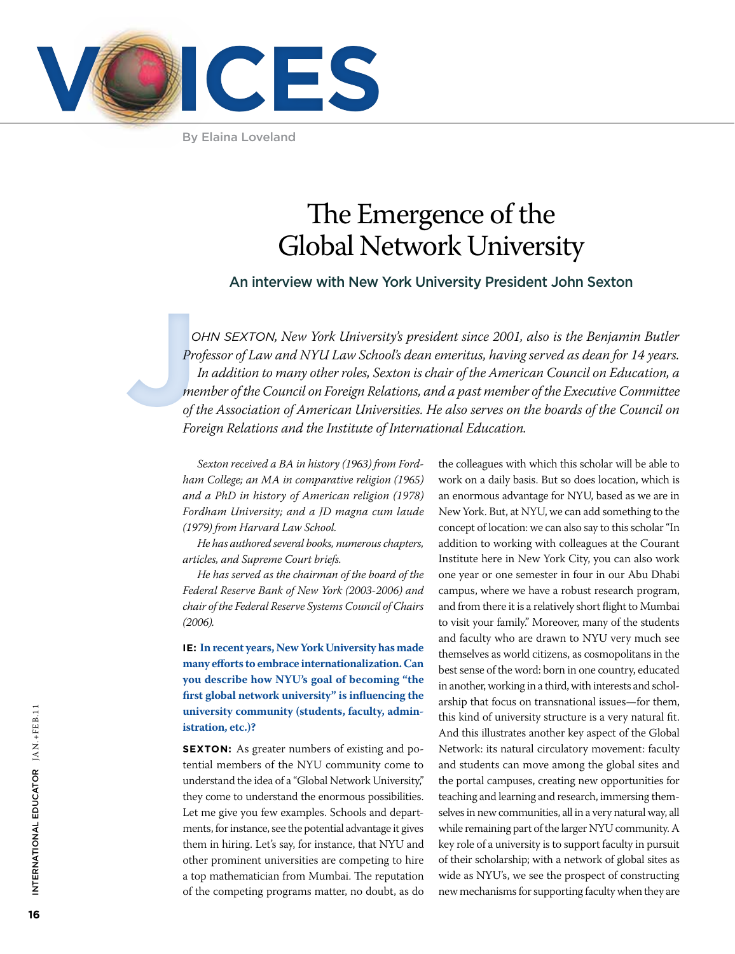

By Elaina Loveland

# The Emergence of the Global Network University

An interview with New York University President John Sexton

**C**<br>
Property<br>
me<br>
of t<br>
For *ohn Sexton, New York University's president since 2001, also is the Benjamin Butler Professor of Law and NYU Law School's dean emeritus, having served as dean for 14 years. In addition to many other roles, Sexton is chair of the American Council on Education, a member of the Council on Foreign Relations, and a past member of the Executive Committee of the Association of American Universities. He also serves on the boards of the Council on Foreign Relations and the Institute of International Education.* 

> *Sexton received a BA in history (1963) from Fordham College; an MA in comparative religion (1965) and a PhD in history of American religion (1978) Fordham University; and a JD magna cum laude (1979) from Harvard Law School.*

*He has authored several books, numerous chapters, articles, and Supreme Court briefs.*

*He has served as the chairman of the board of the Federal Reserve Bank of New York (2003-2006) and chair of the Federal Reserve Systems Council of Chairs (2006).* 

**IE: In recent years, New York University has made many efforts to embrace internationalization. Can you describe how NYU's goal of becoming "the first global network university" is influencing the university community (students, faculty, administration, etc.)?**

**SEXTON:** As greater numbers of existing and potential members of the NYU community come to understand the idea of a "Global Network University," they come to understand the enormous possibilities. Let me give you few examples. Schools and departments, for instance, see the potential advantage it gives them in hiring. Let's say, for instance, that NYU and other prominent universities are competing to hire a top mathematician from Mumbai. The reputation of the competing programs matter, no doubt, as do the colleagues with which this scholar will be able to work on a daily basis. But so does location, which is an enormous advantage for NYU, based as we are in New York. But, at NYU, we can add something to the concept of location: we can also say to this scholar "In addition to working with colleagues at the Courant Institute here in New York City, you can also work one year or one semester in four in our Abu Dhabi campus, where we have a robust research program, and from there it is a relatively short flight to Mumbai to visit your family." Moreover, many of the students and faculty who are drawn to NYU very much see themselves as world citizens, as cosmopolitans in the best sense of the word: born in one country, educated in another, working in a third, with interests and scholarship that focus on transnational issues—for them, this kind of university structure is a very natural fit. And this illustrates another key aspect of the Global Network: its natural circulatory movement: faculty and students can move among the global sites and the portal campuses, creating new opportunities for teaching and learning and research, immersing themselves in new communities, all in a very natural way, all while remaining part of the larger NYU community. A key role of a university is to support faculty in pursuit of their scholarship; with a network of global sites as wide as NYU's, we see the prospect of constructing new mechanisms for supporting faculty when they are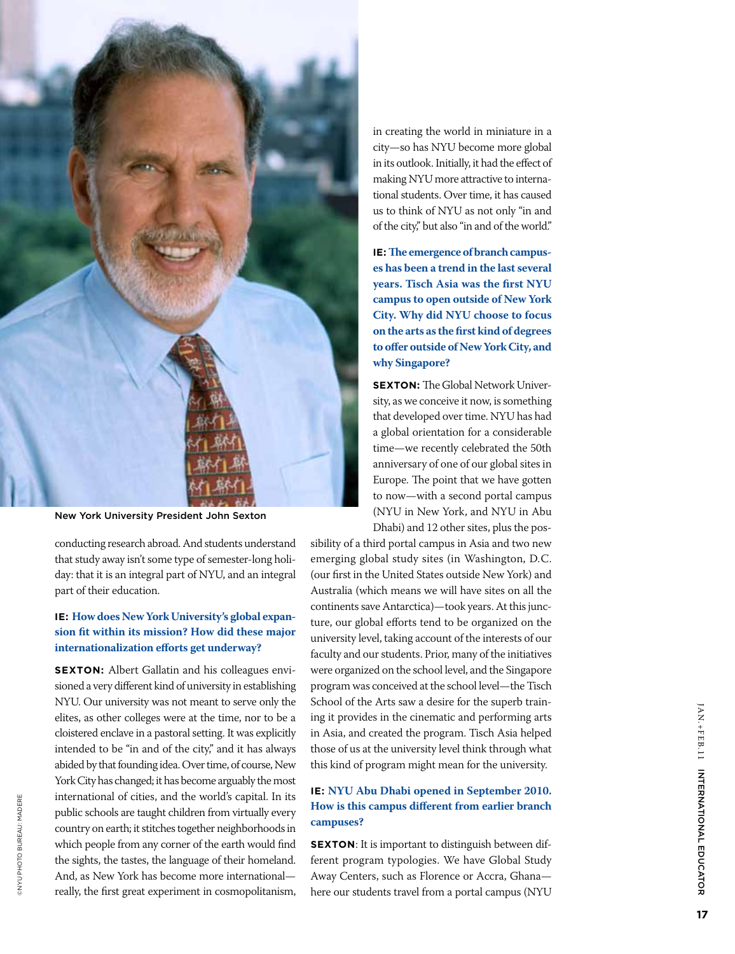

New York University President John Sexton

conducting research abroad. And students understand that study away isn't some type of semester-long holi day: that it is an integral part of NYU, and an integral part of their education.

## **IE: How does New York University's global expan sion fit within its mission? How did these major internationalization efforts get underway?**

**SEX TON:** Albert Gallatin and his colleagues envi sioned a very different kind of university in establishing NYU. Our university was not meant to serve only the elites, as other colleges were at the time, nor to be a cloistered enclave in a pastoral setting. It was explicitly intended to be "in and of the city," and it has always abided by that founding idea. Over time, of course, New York City has changed; it has become arguably the most international of cities, and the world's capital. In its public schools are taught children from virtually every country on earth; it stitches together neighborhoods in which people from any corner of the earth would find the sights, the tastes, the language of their homeland. And, as New York has become more international really, the first great experiment in cosmopolitanism,

©NYU Photo Bureau: Madere

**DINYU PHOTO BUREAU: MADERE** 

in creating the world in miniature in a city—so has NYU become more global in its outlook. Initially, it had the effect of making NYU more attractive to interna tional students. Over time, it has caused us to think of NYU as not only "in and of the city," but also "in and of the world."

**IE: The emergence of branch campuses has been a trend in the last several years. Tisch Asia was the first NYU campus to open outside of New York City. Why did NYU choose to focus on the arts as the first kind of degrees to offer outside of New York City, and why Singapore?** 

**SEX TON:** The Global Network Univer sity, as we conceive it now, is something that developed over time. NYU has had a global orientation for a considerable time—we recently celebrated the 50th anniversary of one of our global sites in Europe. The point that we have gotten to now—with a second portal campus (NYU in New York, and NYU in Abu Dhabi) and 12 other sites, plus the pos -

sibility of a third portal campus in Asia and two new emerging global study sites (in Washington, D.C. (our first in the United States outside New York) and Australia (which means we will have sites on all the continents save Antarctica)—took years. At this junc ture, our global efforts tend to be organized on the university level, taking account of the interests of our faculty and our students. Prior, many of the initiatives were organized on the school level, and the Singapore program was conceived at the school level—the Tisch School of the Arts saw a desire for the superb train ing it provides in the cinematic and performing arts in Asia, and created the program. Tisch Asia helped those of us at the university level think through what this kind of program might mean for the university.

#### **IE: NYU Abu Dhabi opened in September 2010. How is this campus different from earlier branch campuses?**

**SEX TON**: It is important to distinguish between different program typologies. We have Global Study Away Centers, such as Florence or Accra, Ghana here our students travel from a portal campus (NYU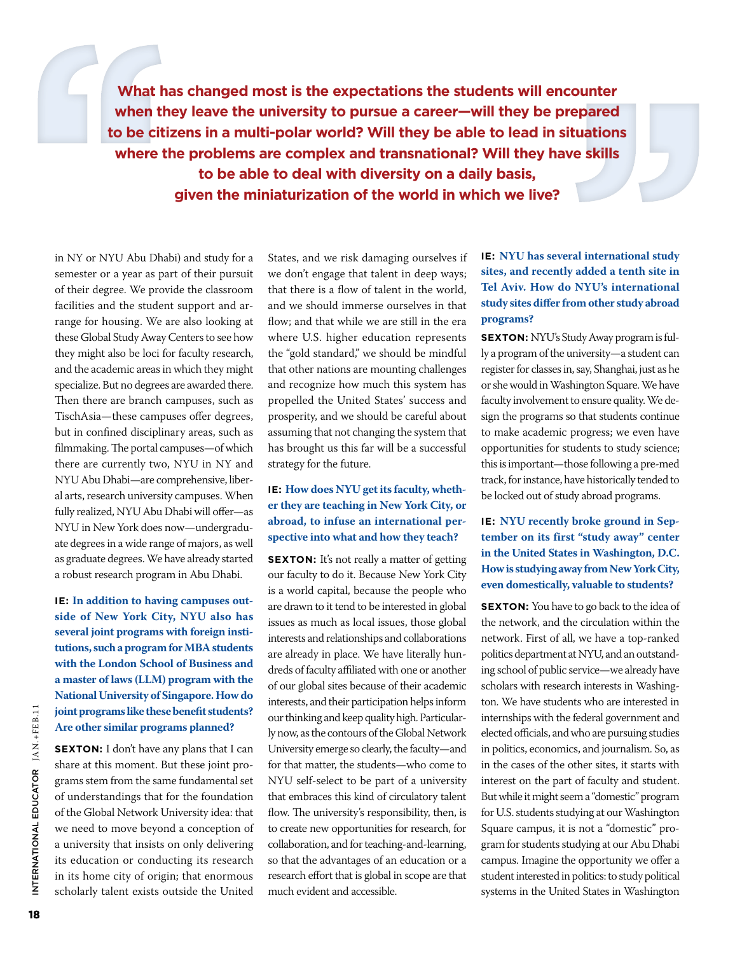**What has changed most is the expectations the students will encounter when they leave the university to pursue a career—will they be prepared to be citizens in a multi-polar world? Will they be able to lead in situations where the problems are complex and transnational? Will they have skills to be able to deal with diversity on a daily basis, given the miniaturization of the world in which we live?** 

in NY or NYU Abu Dhabi) and study for a semester or a year as part of their pursuit of their degree. We provide the classroom facilities and the student support and arrange for housing. We are also looking at these Global Study Away Centers to see how they might also be loci for faculty research, and the academic areas in which they might specialize. But no degrees are awarded there. Then there are branch campuses, such as TischAsia—these campuses offer degrees, but in confined disciplinary areas, such as filmmaking. The portal campuses—of which there are currently two, NYU in NY and NYU Abu Dhabi—are comprehensive, liberal arts, research university campuses. When fully realized, NYU Abu Dhabi will offer—as NYU in New York does now—undergraduate degrees in a wide range of majors, as well as graduate degrees. We have already started a robust research program in Abu Dhabi.

**IE: In addition to having campuses outside of New York City, NYU also has several joint programs with foreign institutions, such a program for MBA students with the London School of Business and a master of laws (LLM) program with the National University of Singapore. How do joint programs like these benefit students? Are other similar programs planned?** 

**SEXTON:** I don't have any plans that I can share at this moment. But these joint programs stem from the same fundamental set of understandings that for the foundation of the Global Network University idea: that we need to move beyond a conception of a university that insists on only delivering its education or conducting its research in its home city of origin; that enormous scholarly talent exists outside the United

States, and we risk damaging ourselves if we don't engage that talent in deep ways; that there is a flow of talent in the world, and we should immerse ourselves in that flow; and that while we are still in the era where U.S. higher education represents the "gold standard," we should be mindful that other nations are mounting challenges and recognize how much this system has propelled the United States' success and prosperity, and we should be careful about assuming that not changing the system that has brought us this far will be a successful strategy for the future.

## **IE: How does NYU get its faculty, whether they are teaching in New York City, or abroad, to infuse an international perspective into what and how they teach?**

**SEXTON:** It's not really a matter of getting our faculty to do it. Because New York City is a world capital, because the people who are drawn to it tend to be interested in global issues as much as local issues, those global interests and relationships and collaborations are already in place. We have literally hundreds of faculty affiliated with one or another of our global sites because of their academic interests, and their participation helps inform our thinking and keep quality high. Particularly now, as the contours of the Global Network University emerge so clearly, the faculty—and for that matter, the students—who come to NYU self-select to be part of a university that embraces this kind of circulatory talent flow. The university's responsibility, then, is to create new opportunities for research, for collaboration, and for teaching-and-learning, so that the advantages of an education or a research effort that is global in scope are that much evident and accessible.

## **IE: NYU has several international study sites, and recently added a tenth site in Tel Aviv. How do NYU's international study sites differ from other study abroad programs?**

**SEXTON:** NYU's Study Away program is fully a program of the university—a student can register for classes in, say, Shanghai, just as he or she would in Washington Square. We have faculty involvement to ensure quality. We design the programs so that students continue to make academic progress; we even have opportunities for students to study science; this is important—those following a pre-med track, for instance, have historically tended to be locked out of study abroad programs.

## **IE: NYU recently broke ground in September on its first "study away" center in the United States in Washington, D.C. How is studying away from New York City, even domestically, valuable to students?**

**SEXTON:** You have to go back to the idea of the network, and the circulation within the network. First of all, we have a top-ranked politics department at NYU, and an outstanding school of public service—we already have scholars with research interests in Washington. We have students who are interested in internships with the federal government and elected officials, and who are pursuing studies in politics, economics, and journalism. So, as in the cases of the other sites, it starts with interest on the part of faculty and student. But while it might seem a "domestic" program for U.S. students studying at our Washington Square campus, it is not a "domestic" program for students studying at our Abu Dhabi campus. Imagine the opportunity we offer a student interested in politics: to study political systems in the United States in Washington